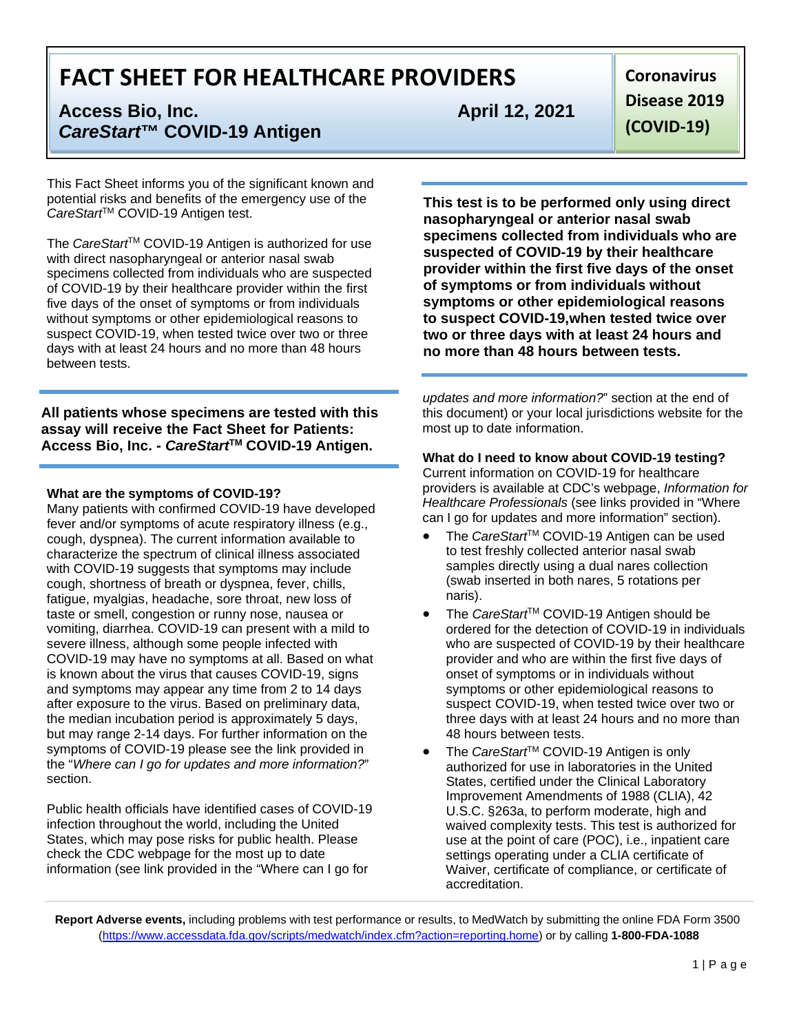# **Access Bio, Inc. Access Bio, Inc. April 12, 2021** *CareStart***™ COVID-19 Antigen**

This Fact Sheet informs you of the significant known and potential risks and benefits of the emergency use of the CareStart<sup>™</sup> COVID-19 Antigen test.

The *CareStart*<sup>™</sup> COVID-19 Antigen is authorized for use with direct nasopharyngeal or anterior nasal swab specimens collected from individuals who are suspected of COVID-19 by their healthcare provider within the first five days of the onset of symptoms or from individuals without symptoms or other epidemiological reasons to suspect COVID-19, when tested twice over two or three days with at least 24 hours and no more than 48 hours between tests.

**All patients whose specimens are tested with this assay will receive the Fact Sheet for Patients: Access Bio, Inc. -** *CareStart***TM COVID-19 Antigen.**

#### **What are the symptoms of COVID-19?**

Many patients with confirmed COVID-19 have developed fever and/or symptoms of acute respiratory illness (e.g., cough, dyspnea). The current information available to characterize the spectrum of clinical illness associated with COVID-19 suggests that symptoms may include cough, shortness of breath or dyspnea, fever, chills, fatigue, myalgias, headache, sore throat, new loss of taste or smell, congestion or runny nose, nausea or vomiting, diarrhea. COVID-19 can present with a mild to severe illness, although some people infected with COVID-19 may have no symptoms at all. Based on what is known about the virus that causes COVID-19, signs and symptoms may appear any time from 2 to 14 days after exposure to the virus. Based on preliminary data, the median incubation period is approximately 5 days, but may range 2-14 days. For further information on the symptoms of COVID-19 please see the link provided in the "*Where can I go for updates and more information?*" section.

Public health officials have identified cases of COVID-19 infection throughout the world, including the United States, which may pose risks for public health. Please check the CDC webpage for the most up to date information (see link provided in the "Where can I go for

**Coronavirus Disease 2019 (COVID-19)**

**This test is to be performed only using direct nasopharyngeal or anterior nasal swab specimens collected from individuals who are suspected of COVID-19 by their healthcare provider within the first five days of the onset of symptoms or from individuals without symptoms or other epidemiological reasons to suspect COVID-19,when tested twice over two or three days with at least 24 hours and no more than 48 hours between tests.**

*updates and more information?*" section at the end of this document) or your local jurisdictions website for the most up to date information.

## **What do I need to know about COVID-19 testing?** Current information on COVID-19 for healthcare providers is available at CDC's webpage, *Information for*

*Healthcare Professionals* (see links provided in "Where can I go for updates and more information" section).

- The *CareStart*™ COVID-19 Antigen can be used to test freshly collected anterior nasal swab samples directly using a dual nares collection (swab inserted in both nares, 5 rotations per naris).
- The *CareStart*™ COVID-19 Antigen should be ordered for the detection of COVID-19 in individuals who are suspected of COVID-19 by their healthcare provider and who are within the first five days of onset of symptoms or in individuals without symptoms or other epidemiological reasons to suspect COVID-19, when tested twice over two or three days with at least 24 hours and no more than 48 hours between tests.
- The *CareStart*™ COVID-19 Antigen is only authorized for use in laboratories in the United States, certified under the Clinical Laboratory Improvement Amendments of 1988 (CLIA), 42 U.S.C. §263a, to perform moderate, high and waived complexity tests. This test is authorized for use at the point of care (POC), i.e., inpatient care settings operating under a CLIA certificate of Waiver, certificate of compliance, or certificate of accreditation.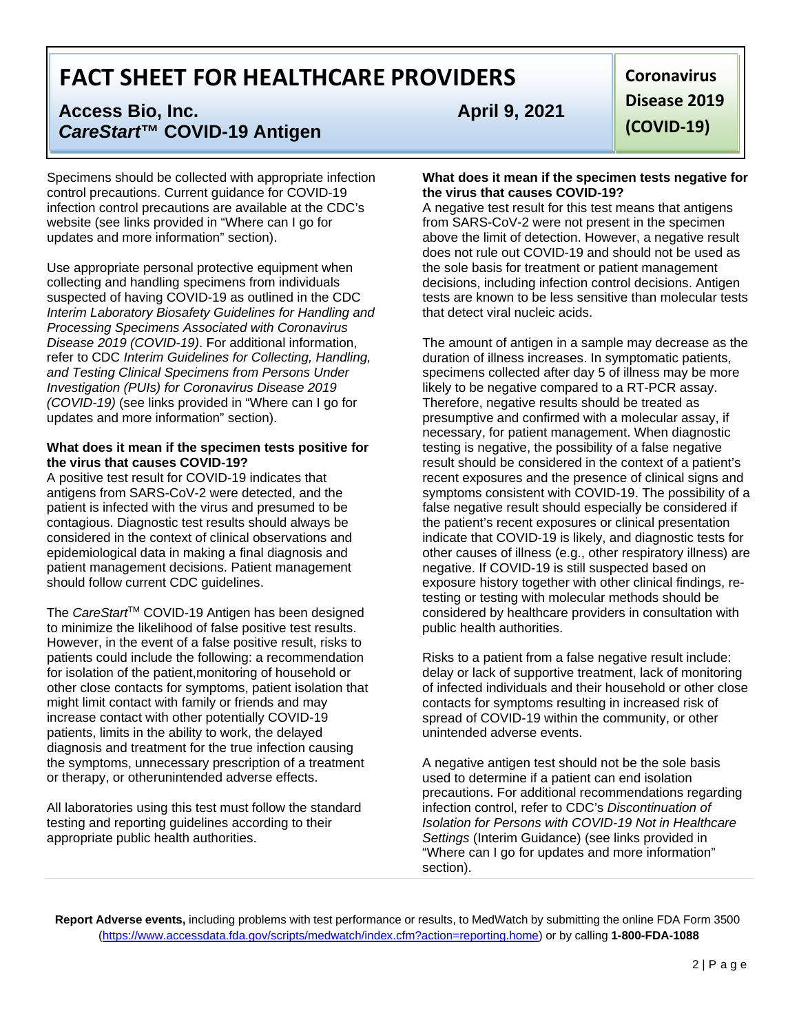# **Access Bio, Inc. Access Bio, Inc. April 9, 2021** *CareStart***™ COVID-19 Antigen**

Specimens should be collected with appropriate infection control precautions. Current guidance for COVID-19 infection control precautions are available at the CDC's website (see links provided in "Where can I go for updates and more information" section).

Use appropriate personal protective equipment when collecting and handling specimens from individuals suspected of having COVID-19 as outlined in the CDC *Interim Laboratory Biosafety Guidelines for Handling and Processing Specimens Associated with Coronavirus Disease 2019 (COVID-19)*. For additional information, refer to CDC *Interim Guidelines for Collecting, Handling, and Testing Clinical Specimens from Persons Under Investigation (PUIs) for Coronavirus Disease 2019 (COVID-19)* (see links provided in "Where can I go for updates and more information" section).

#### **What does it mean if the specimen tests positive for the virus that causes COVID-19?**

A positive test result for COVID-19 indicates that antigens from SARS-CoV-2 were detected, and the patient is infected with the virus and presumed to be contagious. Diagnostic test results should always be considered in the context of clinical observations and epidemiological data in making a final diagnosis and patient management decisions. Patient management should follow current CDC guidelines.

The *CareStart*<sup>™</sup> COVID-19 Antigen has been designed to minimize the likelihood of false positive test results. However, in the event of a false positive result, risks to patients could include the following: a recommendation for isolation of the patient,monitoring of household or other close contacts for symptoms, patient isolation that might limit contact with family or friends and may increase contact with other potentially COVID-19 patients, limits in the ability to work, the delayed diagnosis and treatment for the true infection causing the symptoms, unnecessary prescription of a treatment or therapy, or otherunintended adverse effects.

All laboratories using this test must follow the standard testing and reporting guidelines according to their appropriate public health authorities.

**Coronavirus Disease 2019 (COVID-19)**

#### **What does it mean if the specimen tests negative for the virus that causes COVID-19?**

A negative test result for this test means that antigens from SARS-CoV-2 were not present in the specimen above the limit of detection. However, a negative result does not rule out COVID-19 and should not be used as the sole basis for treatment or patient management decisions, including infection control decisions. Antigen tests are known to be less sensitive than molecular tests that detect viral nucleic acids.

The amount of antigen in a sample may decrease as the duration of illness increases. In symptomatic patients, specimens collected after day 5 of illness may be more likely to be negative compared to a RT-PCR assay. Therefore, negative results should be treated as presumptive and confirmed with a molecular assay, if necessary, for patient management. When diagnostic testing is negative, the possibility of a false negative result should be considered in the context of a patient's recent exposures and the presence of clinical signs and symptoms consistent with COVID-19. The possibility of a false negative result should especially be considered if the patient's recent exposures or clinical presentation indicate that COVID-19 is likely, and diagnostic tests for other causes of illness (e.g., other respiratory illness) are negative. If COVID-19 is still suspected based on exposure history together with other clinical findings, retesting or testing with molecular methods should be considered by healthcare providers in consultation with public health authorities.

Risks to a patient from a false negative result include: delay or lack of supportive treatment, lack of monitoring of infected individuals and their household or other close contacts for symptoms resulting in increased risk of spread of COVID-19 within the community, or other unintended adverse events.

A negative antigen test should not be the sole basis used to determine if a patient can end isolation precautions. For additional recommendations regarding infection control, refer to CDC's *Discontinuation of Isolation for Persons with COVID-19 Not in Healthcare Settings* (Interim Guidance) (see links provided in "Where can I go for updates and more information" section).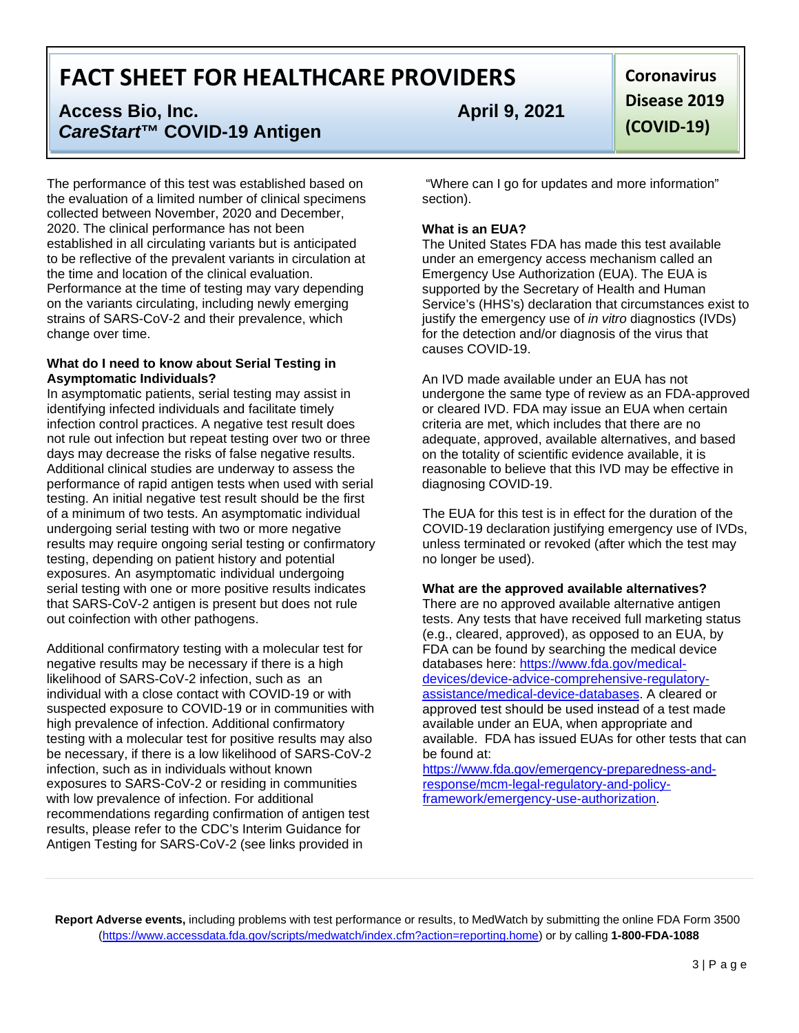# **Access Bio, Inc. Access Bio, Inc. April 9, 2021** *CareStart***™ COVID-19 Antigen**

The performance of this test was established based on the evaluation of a limited number of clinical specimens collected between November, 2020 and December, 2020. The clinical performance has not been established in all circulating variants but is anticipated to be reflective of the prevalent variants in circulation at the time and location of the clinical evaluation. Performance at the time of testing may vary depending on the variants circulating, including newly emerging strains of SARS-CoV-2 and their prevalence, which change over time.

#### **What do I need to know about Serial Testing in Asymptomatic Individuals?**

In asymptomatic patients, serial testing may assist in identifying infected individuals and facilitate timely infection control practices. A negative test result does not rule out infection but repeat testing over two or three days may decrease the risks of false negative results. Additional clinical studies are underway to assess the performance of rapid antigen tests when used with serial testing. An initial negative test result should be the first of a minimum of two tests. An asymptomatic individual undergoing serial testing with two or more negative results may require ongoing serial testing or confirmatory testing, depending on patient history and potential exposures. An asymptomatic individual undergoing serial testing with one or more positive results indicates that SARS-CoV-2 antigen is present but does not rule out coinfection with other pathogens.

Additional confirmatory testing with a molecular test for negative results may be necessary if there is a high likelihood of SARS-CoV-2 infection, such as an individual with a close contact with COVID-19 or with suspected exposure to COVID-19 or in communities with high prevalence of infection. Additional confirmatory testing with a molecular test for positive results may also be necessary, if there is a low likelihood of SARS-CoV-2 infection, such as in individuals without known exposures to SARS-CoV-2 or residing in communities with low prevalence of infection. For additional recommendations regarding confirmation of antigen test results, please refer to the CDC's Interim Guidance for Antigen Testing for SARS-CoV-2 (see links provided in

**Coronavirus Disease 2019 (COVID-19)**

"Where can I go for updates and more information" section).

## **What is an EUA?**

The United States FDA has made this test available under an emergency access mechanism called an Emergency Use Authorization (EUA). The EUA is supported by the Secretary of Health and Human Service's (HHS's) declaration that circumstances exist to justify the emergency use of *in vitro* diagnostics (IVDs) for the detection and/or diagnosis of the virus that causes COVID-19.

An IVD made available under an EUA has not undergone the same type of review as an FDA-approved or cleared IVD. FDA may issue an EUA when certain criteria are met, which includes that there are no adequate, approved, available alternatives, and based on the totality of scientific evidence available, it is reasonable to believe that this IVD may be effective in diagnosing COVID-19.

The EUA for this test is in effect for the duration of the COVID-19 declaration justifying emergency use of IVDs, unless terminated or revoked (after which the test may no longer be used).

### **What are the approved available alternatives?**

There are no approved available alternative antigen tests. Any tests that have received full marketing status (e.g., cleared, approved), as opposed to an EUA, by FDA can be found by searching the medical device databases here: [https://www.fda.gov/medical](https://www.fda.gov/medical-devices/device-advice-comprehensive-regulatory-assistance/medical-device-databases)[devices/device-advice-comprehensive-regulatory](https://www.fda.gov/medical-devices/device-advice-comprehensive-regulatory-assistance/medical-device-databases)[assistance/medical-device-databases. A](https://www.fda.gov/medical-devices/device-advice-comprehensive-regulatory-assistance/medical-device-databases) cleared or approved test should be used instead of a test made available under an EUA, when appropriate and available. FDA has issued EUAs for other tests that can be found at:

[https://www.fda.gov/emergency-preparedness-and](https://www.fda.gov/emergency-preparedness-and-response/mcm-legal-regulatory-and-policy-framework/emergency-use-authorization)[response/mcm-legal-regulatory-and-policy](https://www.fda.gov/emergency-preparedness-and-response/mcm-legal-regulatory-and-policy-framework/emergency-use-authorization)[framework/emergency-use-authorization.](https://www.fda.gov/emergency-preparedness-and-response/mcm-legal-regulatory-and-policy-framework/emergency-use-authorization)